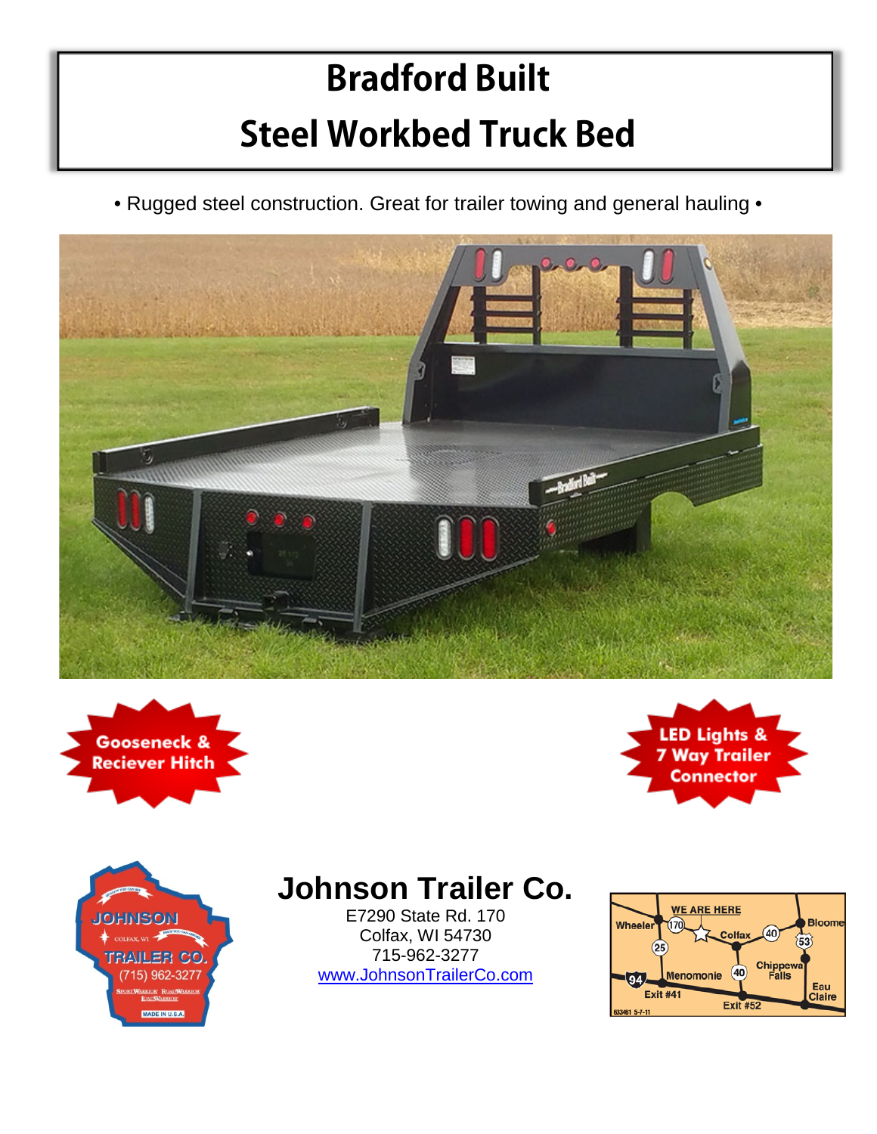## **Bradford Built Steel Workbed Truck Bed**

• Rugged steel construction. Great for trailer towing and general hauling •









## **Johnson Trailer Co.**

E7290 State Rd. 170 Colfax, WI 54730 715-962-3277 [www.JohnsonTrailerCo.com](http://www.johnsontrailerco.com/)